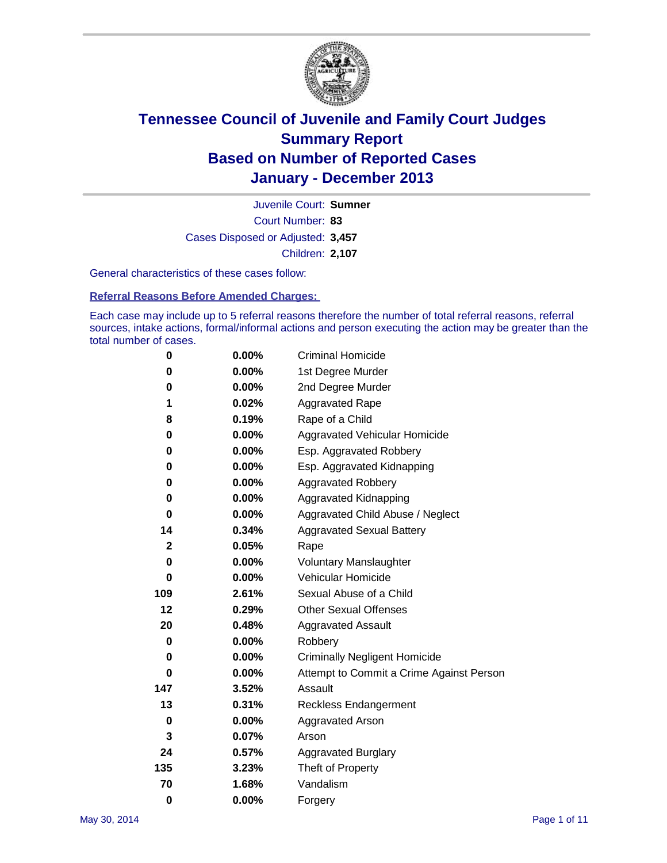

Court Number: **83** Juvenile Court: **Sumner** Cases Disposed or Adjusted: **3,457** Children: **2,107**

General characteristics of these cases follow:

**Referral Reasons Before Amended Charges:** 

Each case may include up to 5 referral reasons therefore the number of total referral reasons, referral sources, intake actions, formal/informal actions and person executing the action may be greater than the total number of cases.

| 0            | $0.00\%$ | <b>Criminal Homicide</b>                 |
|--------------|----------|------------------------------------------|
| 0            | 0.00%    | 1st Degree Murder                        |
| 0            | 0.00%    | 2nd Degree Murder                        |
| 1            | 0.02%    | <b>Aggravated Rape</b>                   |
| 8            | 0.19%    | Rape of a Child                          |
| 0            | $0.00\%$ | Aggravated Vehicular Homicide            |
| 0            | 0.00%    | Esp. Aggravated Robbery                  |
| 0            | 0.00%    | Esp. Aggravated Kidnapping               |
| 0            | $0.00\%$ | <b>Aggravated Robbery</b>                |
| 0            | 0.00%    | Aggravated Kidnapping                    |
| 0            | $0.00\%$ | Aggravated Child Abuse / Neglect         |
| 14           | 0.34%    | <b>Aggravated Sexual Battery</b>         |
| $\mathbf{2}$ | 0.05%    | Rape                                     |
| 0            | $0.00\%$ | <b>Voluntary Manslaughter</b>            |
| 0            | $0.00\%$ | Vehicular Homicide                       |
| 109          | 2.61%    | Sexual Abuse of a Child                  |
| 12           | 0.29%    | <b>Other Sexual Offenses</b>             |
| 20           | 0.48%    | <b>Aggravated Assault</b>                |
| 0            | 0.00%    | Robbery                                  |
| 0            | $0.00\%$ | <b>Criminally Negligent Homicide</b>     |
| 0            | 0.00%    | Attempt to Commit a Crime Against Person |
| 147          | 3.52%    | Assault                                  |
| 13           | 0.31%    | <b>Reckless Endangerment</b>             |
| 0            | 0.00%    | <b>Aggravated Arson</b>                  |
| 3            | 0.07%    | Arson                                    |
| 24           | 0.57%    | <b>Aggravated Burglary</b>               |
| 135          | 3.23%    | Theft of Property                        |
| 70           | 1.68%    | Vandalism                                |
| $\bf{0}$     | 0.00%    | Forgery                                  |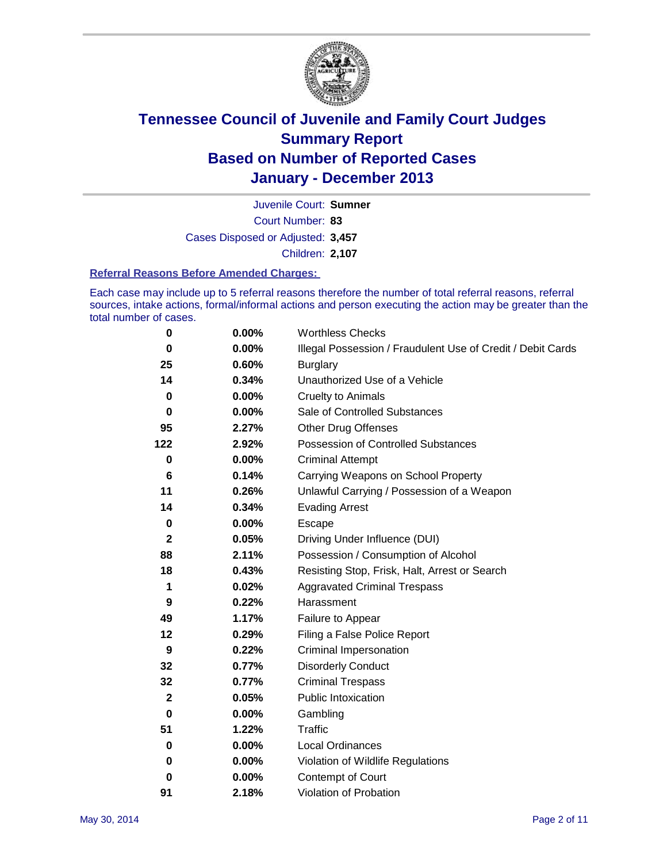

Court Number: **83** Juvenile Court: **Sumner** Cases Disposed or Adjusted: **3,457** Children: **2,107**

#### **Referral Reasons Before Amended Charges:**

Each case may include up to 5 referral reasons therefore the number of total referral reasons, referral sources, intake actions, formal/informal actions and person executing the action may be greater than the total number of cases.

| 0           | 0.00%    | <b>Worthless Checks</b>                                     |
|-------------|----------|-------------------------------------------------------------|
| 0           | 0.00%    | Illegal Possession / Fraudulent Use of Credit / Debit Cards |
| 25          | 0.60%    | <b>Burglary</b>                                             |
| 14          | 0.34%    | Unauthorized Use of a Vehicle                               |
| $\bf{0}$    | 0.00%    | <b>Cruelty to Animals</b>                                   |
| 0           | $0.00\%$ | Sale of Controlled Substances                               |
| 95          | 2.27%    | <b>Other Drug Offenses</b>                                  |
| 122         | 2.92%    | Possession of Controlled Substances                         |
| $\bf{0}$    | 0.00%    | <b>Criminal Attempt</b>                                     |
| 6           | 0.14%    | Carrying Weapons on School Property                         |
| 11          | 0.26%    | Unlawful Carrying / Possession of a Weapon                  |
| 14          | 0.34%    | <b>Evading Arrest</b>                                       |
| $\bf{0}$    | 0.00%    | Escape                                                      |
| $\mathbf 2$ | 0.05%    | Driving Under Influence (DUI)                               |
| 88          | 2.11%    | Possession / Consumption of Alcohol                         |
| 18          | 0.43%    | Resisting Stop, Frisk, Halt, Arrest or Search               |
| 1           | 0.02%    | <b>Aggravated Criminal Trespass</b>                         |
| 9           | 0.22%    | Harassment                                                  |
| 49          | 1.17%    | Failure to Appear                                           |
| 12          | 0.29%    | Filing a False Police Report                                |
| 9           | 0.22%    | Criminal Impersonation                                      |
| 32          | 0.77%    | <b>Disorderly Conduct</b>                                   |
| 32          | 0.77%    | <b>Criminal Trespass</b>                                    |
| $\mathbf 2$ | 0.05%    | <b>Public Intoxication</b>                                  |
| 0           | $0.00\%$ | Gambling                                                    |
| 51          | 1.22%    | <b>Traffic</b>                                              |
| 0           | $0.00\%$ | Local Ordinances                                            |
| 0           | 0.00%    | Violation of Wildlife Regulations                           |
| 0           | $0.00\%$ | <b>Contempt of Court</b>                                    |
| 91          | 2.18%    | Violation of Probation                                      |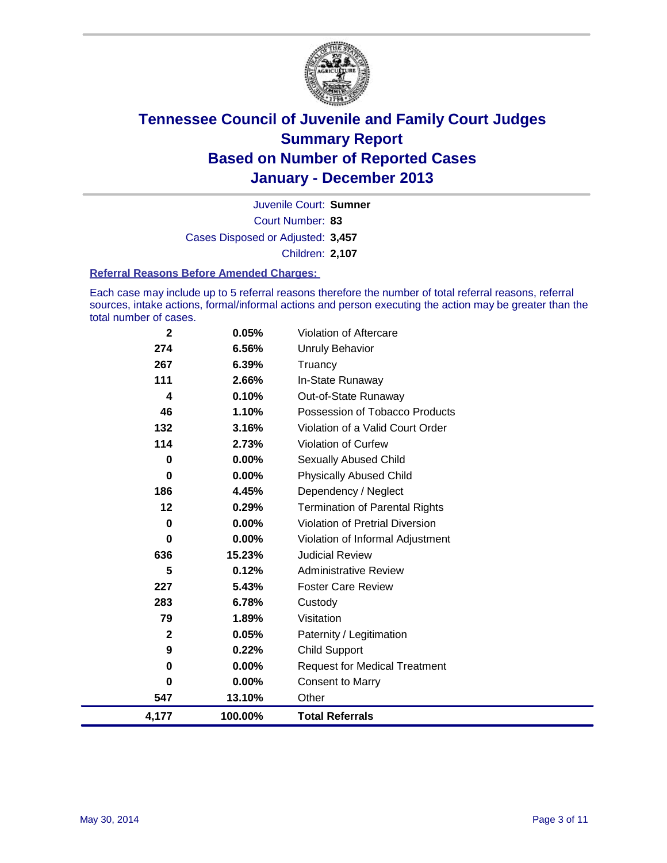

Court Number: **83** Juvenile Court: **Sumner** Cases Disposed or Adjusted: **3,457** Children: **2,107**

#### **Referral Reasons Before Amended Charges:**

Each case may include up to 5 referral reasons therefore the number of total referral reasons, referral sources, intake actions, formal/informal actions and person executing the action may be greater than the total number of cases.

| $\mathbf 2$ | 0.05%    | Violation of Aftercare                 |
|-------------|----------|----------------------------------------|
| 274         | 6.56%    | Unruly Behavior                        |
| 267         | 6.39%    | Truancy                                |
| 111         | 2.66%    | In-State Runaway                       |
| 4           | 0.10%    | Out-of-State Runaway                   |
| 46          | 1.10%    | Possession of Tobacco Products         |
| 132         | 3.16%    | Violation of a Valid Court Order       |
| 114         | 2.73%    | Violation of Curfew                    |
| 0           | $0.00\%$ | Sexually Abused Child                  |
| 0           | 0.00%    | <b>Physically Abused Child</b>         |
| 186         | 4.45%    | Dependency / Neglect                   |
| 12          | 0.29%    | <b>Termination of Parental Rights</b>  |
| 0           | $0.00\%$ | <b>Violation of Pretrial Diversion</b> |
| 0           | $0.00\%$ | Violation of Informal Adjustment       |
| 636         | 15.23%   | <b>Judicial Review</b>                 |
| 5           | 0.12%    | <b>Administrative Review</b>           |
| 227         | 5.43%    | <b>Foster Care Review</b>              |
| 283         | 6.78%    | Custody                                |
| 79          | 1.89%    | Visitation                             |
| $\mathbf 2$ | 0.05%    | Paternity / Legitimation               |
| 9           | 0.22%    | <b>Child Support</b>                   |
| 0           | 0.00%    | <b>Request for Medical Treatment</b>   |
| 0           | 0.00%    | <b>Consent to Marry</b>                |
| 547         | 13.10%   | Other                                  |
| 4,177       | 100.00%  | <b>Total Referrals</b>                 |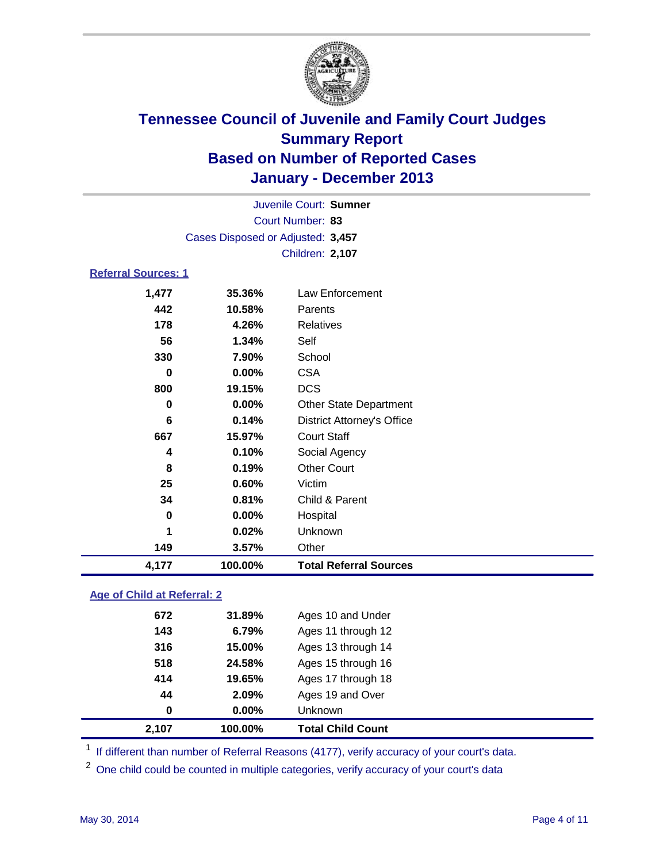

|                            |                                   | Juvenile Court: Sumner            |
|----------------------------|-----------------------------------|-----------------------------------|
|                            |                                   | Court Number: 83                  |
|                            | Cases Disposed or Adjusted: 3,457 |                                   |
|                            |                                   | Children: 2,107                   |
| <b>Referral Sources: 1</b> |                                   |                                   |
| 1,477                      | 35.36%                            | Law Enforcement                   |
| 442                        | 10.58%                            | Parents                           |
| 178                        | 4.26%                             | <b>Relatives</b>                  |
| 56                         | 1.34%                             | Self                              |
| 330                        | 7.90%                             | School                            |
| $\bf{0}$                   | 0.00%                             | <b>CSA</b>                        |
| 800                        | 19.15%                            | <b>DCS</b>                        |
| 0                          | $0.00\%$                          | <b>Other State Department</b>     |
| 6                          | 0.14%                             | <b>District Attorney's Office</b> |
| 667                        | 15.97%                            | <b>Court Staff</b>                |
| 4                          | 0.10%                             | Social Agency                     |
| 8                          | 0.19%                             | <b>Other Court</b>                |
| 25                         | 0.60%                             | Victim                            |
| 34                         | 0.81%                             | Child & Parent                    |
| 0                          | 0.00%                             | Hospital                          |
| 1                          | 0.02%                             | Unknown                           |
| 149                        | 3.57%                             | Other                             |
| 4,177                      | 100.00%                           | <b>Total Referral Sources</b>     |
|                            |                                   |                                   |

### **Age of Child at Referral: 2**

| 2,107 | 100.00% | <b>Total Child Count</b> |
|-------|---------|--------------------------|
| 0     | 0.00%   | <b>Unknown</b>           |
| 44    | 2.09%   | Ages 19 and Over         |
| 414   | 19.65%  | Ages 17 through 18       |
| 518   | 24.58%  | Ages 15 through 16       |
| 316   | 15.00%  | Ages 13 through 14       |
| 143   | 6.79%   | Ages 11 through 12       |
| 672   | 31.89%  | Ages 10 and Under        |
|       |         |                          |

<sup>1</sup> If different than number of Referral Reasons (4177), verify accuracy of your court's data.

<sup>2</sup> One child could be counted in multiple categories, verify accuracy of your court's data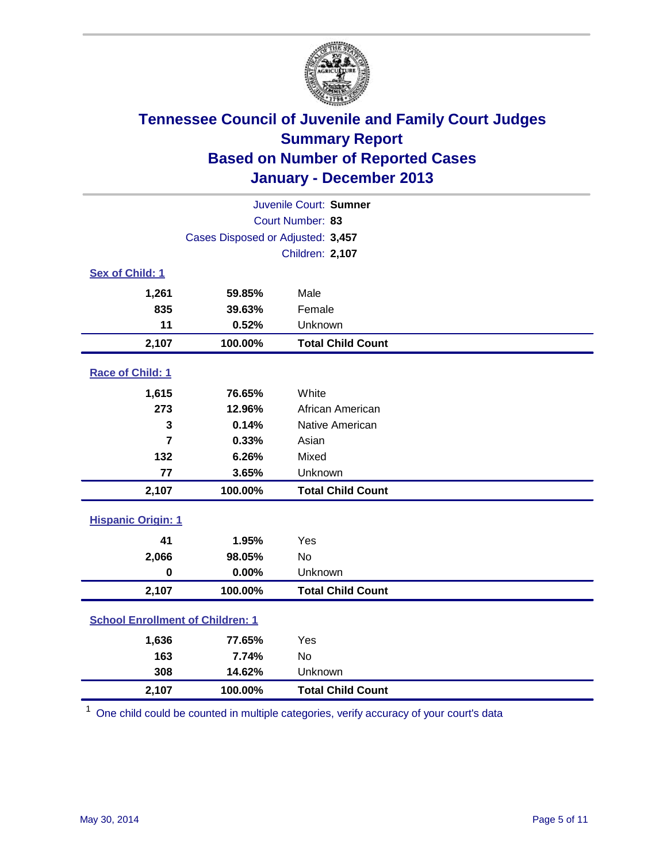

| Juvenile Court: Sumner                  |                                   |                          |  |  |
|-----------------------------------------|-----------------------------------|--------------------------|--|--|
|                                         |                                   | Court Number: 83         |  |  |
|                                         | Cases Disposed or Adjusted: 3,457 |                          |  |  |
|                                         |                                   | Children: 2,107          |  |  |
| Sex of Child: 1                         |                                   |                          |  |  |
| 1,261                                   | 59.85%                            | Male                     |  |  |
| 835                                     | 39.63%                            | Female                   |  |  |
| 11                                      | 0.52%                             | Unknown                  |  |  |
| 2,107                                   | 100.00%                           | <b>Total Child Count</b> |  |  |
| Race of Child: 1                        |                                   |                          |  |  |
| 1,615                                   | 76.65%                            | White                    |  |  |
| 273                                     | 12.96%                            | African American         |  |  |
| 3                                       | 0.14%                             | Native American          |  |  |
| $\overline{7}$                          | 0.33%                             | Asian                    |  |  |
| 132                                     | 6.26%                             | Mixed                    |  |  |
| 77                                      | 3.65%                             | Unknown                  |  |  |
| 2,107                                   | 100.00%                           | <b>Total Child Count</b> |  |  |
| <b>Hispanic Origin: 1</b>               |                                   |                          |  |  |
| 41                                      | 1.95%                             | Yes                      |  |  |
| 2,066                                   | 98.05%                            | <b>No</b>                |  |  |
| $\mathbf 0$                             | 0.00%                             | Unknown                  |  |  |
| 2,107                                   | 100.00%                           | <b>Total Child Count</b> |  |  |
| <b>School Enrollment of Children: 1</b> |                                   |                          |  |  |
| 1,636                                   | 77.65%                            | Yes                      |  |  |
| 163                                     | 7.74%                             | <b>No</b>                |  |  |
| 308                                     | 14.62%                            | Unknown                  |  |  |
| 2,107                                   | 100.00%                           | <b>Total Child Count</b> |  |  |

<sup>1</sup> One child could be counted in multiple categories, verify accuracy of your court's data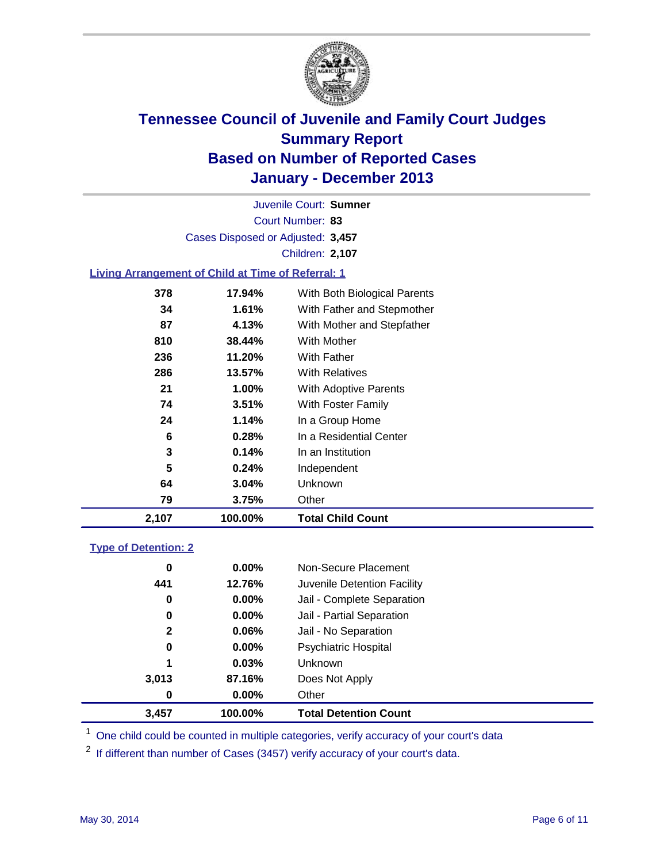

Court Number: **83** Juvenile Court: **Sumner** Cases Disposed or Adjusted: **3,457** Children: **2,107**

### **Living Arrangement of Child at Time of Referral: 1**

| 2,107 | 100.00% | <b>Total Child Count</b>     |
|-------|---------|------------------------------|
| 79    | 3.75%   | Other                        |
| 64    | 3.04%   | Unknown                      |
| 5     | 0.24%   | Independent                  |
| 3     | 0.14%   | In an Institution            |
| 6     | 0.28%   | In a Residential Center      |
| 24    | 1.14%   | In a Group Home              |
| 74    | 3.51%   | With Foster Family           |
| 21    | 1.00%   | <b>With Adoptive Parents</b> |
| 286   | 13.57%  | <b>With Relatives</b>        |
| 236   | 11.20%  | With Father                  |
| 810   | 38.44%  | With Mother                  |
| 87    | 4.13%   | With Mother and Stepfather   |
| 34    | 1.61%   | With Father and Stepmother   |
| 378   | 17.94%  | With Both Biological Parents |
|       |         |                              |

#### **Type of Detention: 2**

| 3.457        | 100.00%  | <b>Total Detention Count</b> |  |
|--------------|----------|------------------------------|--|
| 0            | 0.00%    | Other                        |  |
| 3,013        | 87.16%   | Does Not Apply               |  |
| 1            | 0.03%    | <b>Unknown</b>               |  |
| 0            | $0.00\%$ | <b>Psychiatric Hospital</b>  |  |
| $\mathbf{2}$ | 0.06%    | Jail - No Separation         |  |
| 0            | $0.00\%$ | Jail - Partial Separation    |  |
| 0            | 0.00%    | Jail - Complete Separation   |  |
| 441          | 12.76%   | Juvenile Detention Facility  |  |
| 0            | 0.00%    | Non-Secure Placement         |  |
|              |          |                              |  |

<sup>1</sup> One child could be counted in multiple categories, verify accuracy of your court's data

If different than number of Cases (3457) verify accuracy of your court's data.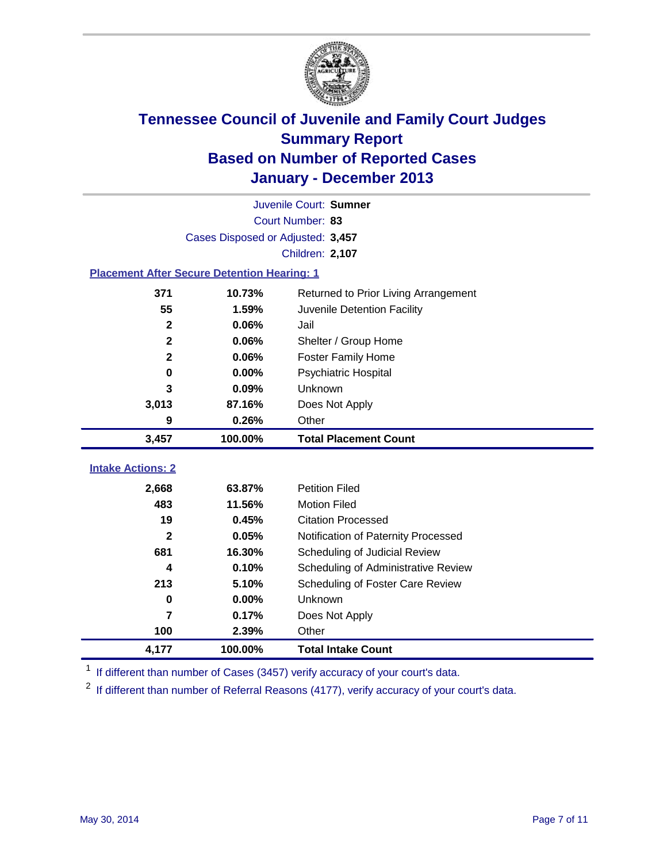

|                                                    |                                   | Juvenile Court: Sumner               |
|----------------------------------------------------|-----------------------------------|--------------------------------------|
|                                                    |                                   | Court Number: 83                     |
|                                                    | Cases Disposed or Adjusted: 3,457 |                                      |
|                                                    |                                   | Children: 2,107                      |
| <b>Placement After Secure Detention Hearing: 1</b> |                                   |                                      |
| 371                                                | 10.73%                            | Returned to Prior Living Arrangement |
| 55                                                 | 1.59%                             | Juvenile Detention Facility          |
| $\mathbf 2$                                        | 0.06%                             | Jail                                 |
| $\mathbf{2}$                                       | 0.06%                             | Shelter / Group Home                 |
| $\overline{\mathbf{2}}$                            | 0.06%                             | <b>Foster Family Home</b>            |
| $\bf{0}$                                           | 0.00%                             | Psychiatric Hospital                 |
| 3                                                  | 0.09%                             | Unknown                              |
| 3,013                                              | 87.16%                            | Does Not Apply                       |
| 9                                                  | 0.26%                             | Other                                |
| 3,457                                              | 100.00%                           | <b>Total Placement Count</b>         |
| <b>Intake Actions: 2</b>                           |                                   |                                      |
|                                                    |                                   |                                      |
| 2,668                                              | 63.87%                            | <b>Petition Filed</b>                |
| 483                                                | 11.56%                            | <b>Motion Filed</b>                  |
| 19                                                 | 0.45%                             | <b>Citation Processed</b>            |
| $\mathbf{2}$                                       | 0.05%                             | Notification of Paternity Processed  |
| 681                                                | 16.30%                            | Scheduling of Judicial Review        |
| 4                                                  | 0.10%                             | Scheduling of Administrative Review  |
| 213                                                | 5.10%                             | Scheduling of Foster Care Review     |
| $\bf{0}$                                           | 0.00%                             | Unknown                              |
| 7                                                  | 0.17%                             | Does Not Apply                       |
| 100                                                | 2.39%                             | Other                                |
| 4,177                                              | 100.00%                           | <b>Total Intake Count</b>            |

<sup>1</sup> If different than number of Cases (3457) verify accuracy of your court's data.

 $2$  If different than number of Referral Reasons (4177), verify accuracy of your court's data.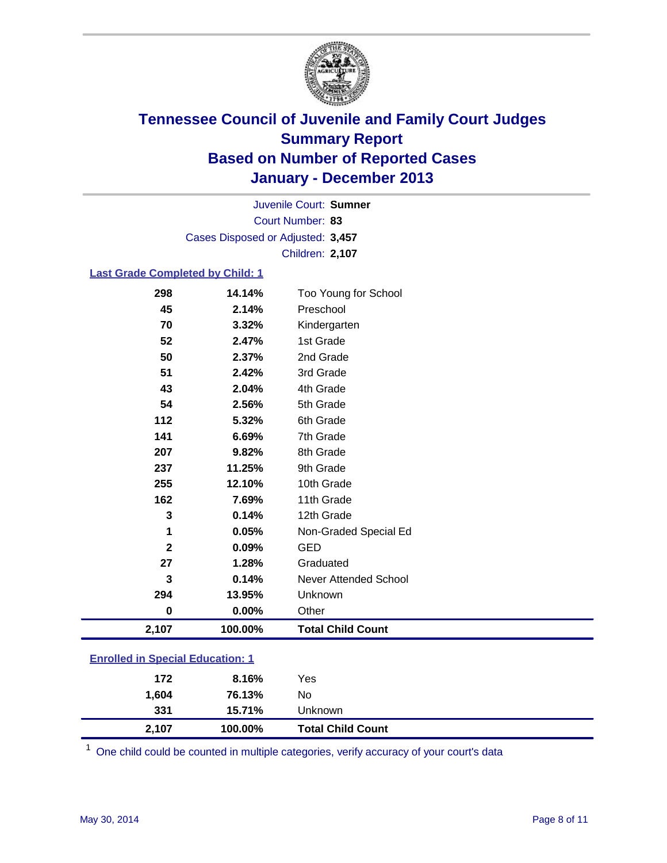

Court Number: **83** Juvenile Court: **Sumner** Cases Disposed or Adjusted: **3,457** Children: **2,107**

### **Last Grade Completed by Child: 1**

| 2,107        | 100.00%  | <b>Total Child Count</b>     |
|--------------|----------|------------------------------|
| $\bf{0}$     | $0.00\%$ | Other                        |
| 294          | 13.95%   | Unknown                      |
| 3            | 0.14%    | <b>Never Attended School</b> |
| 27           | 1.28%    | Graduated                    |
| $\mathbf{2}$ | 0.09%    | <b>GED</b>                   |
| 1            | 0.05%    | Non-Graded Special Ed        |
| 3            | 0.14%    | 12th Grade                   |
| 162          | 7.69%    | 11th Grade                   |
| 255          | 12.10%   | 10th Grade                   |
| 237          | 11.25%   | 9th Grade                    |
| 207          | 9.82%    | 8th Grade                    |
| 141          | 6.69%    | 7th Grade                    |
| 112          | 5.32%    | 6th Grade                    |
| 54           | 2.56%    | 5th Grade                    |
| 43           | 2.04%    | 4th Grade                    |
| 51           | 2.42%    | 3rd Grade                    |
| 50           | 2.37%    | 2nd Grade                    |
| 52           | 2.47%    | 1st Grade                    |
| 70           | 3.32%    | Kindergarten                 |
| 45           | 2.14%    | Preschool                    |
| 298          | 14.14%   | Too Young for School         |

| <b>Enrolled in Special Education: 1</b> |  |
|-----------------------------------------|--|
|                                         |  |

| 2,107 | 100.00% | <b>Total Child Count</b> |  |
|-------|---------|--------------------------|--|
| 331   | 15.71%  | Unknown                  |  |
| 1,604 | 76.13%  | No                       |  |
| 172   | 8.16%   | Yes                      |  |

One child could be counted in multiple categories, verify accuracy of your court's data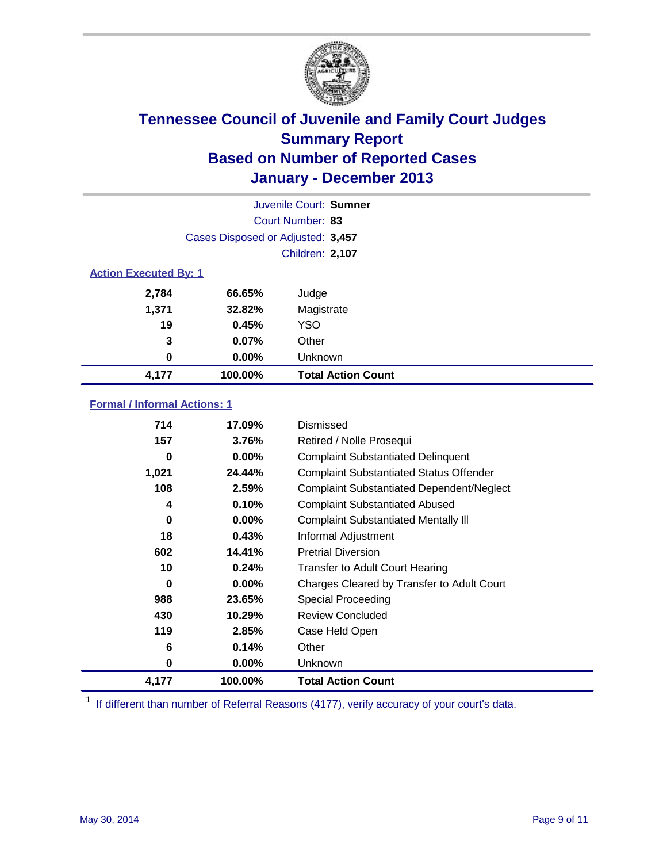

|                              |                                   | Juvenile Court: Sumner    |
|------------------------------|-----------------------------------|---------------------------|
|                              |                                   | Court Number: 83          |
|                              | Cases Disposed or Adjusted: 3,457 |                           |
|                              |                                   | Children: 2,107           |
| <b>Action Executed By: 1</b> |                                   |                           |
| 2,784                        | 66.65%                            | Judge                     |
| 1,371                        | 32.82%                            | Magistrate                |
| 19                           | 0.45%                             | <b>YSO</b>                |
| 3                            | $0.07\%$                          | Other                     |
| 0                            | 0.00%                             | Unknown                   |
| 4,177                        | 100.00%                           | <b>Total Action Count</b> |

### **Formal / Informal Actions: 1**

| 714      | 17.09%   | Dismissed                                        |
|----------|----------|--------------------------------------------------|
| 157      | 3.76%    | Retired / Nolle Prosequi                         |
| 0        | $0.00\%$ | <b>Complaint Substantiated Delinquent</b>        |
| 1,021    | 24.44%   | <b>Complaint Substantiated Status Offender</b>   |
| 108      | 2.59%    | <b>Complaint Substantiated Dependent/Neglect</b> |
| 4        | 0.10%    | <b>Complaint Substantiated Abused</b>            |
| $\bf{0}$ | $0.00\%$ | <b>Complaint Substantiated Mentally III</b>      |
| 18       | 0.43%    | Informal Adjustment                              |
| 602      | 14.41%   | <b>Pretrial Diversion</b>                        |
| 10       | 0.24%    | <b>Transfer to Adult Court Hearing</b>           |
| 0        | $0.00\%$ | Charges Cleared by Transfer to Adult Court       |
| 988      | 23.65%   | Special Proceeding                               |
| 430      | 10.29%   | <b>Review Concluded</b>                          |
| 119      | 2.85%    | Case Held Open                                   |
| 6        | 0.14%    | Other                                            |
| 0        | $0.00\%$ | <b>Unknown</b>                                   |
| 4,177    | 100.00%  | <b>Total Action Count</b>                        |

<sup>1</sup> If different than number of Referral Reasons (4177), verify accuracy of your court's data.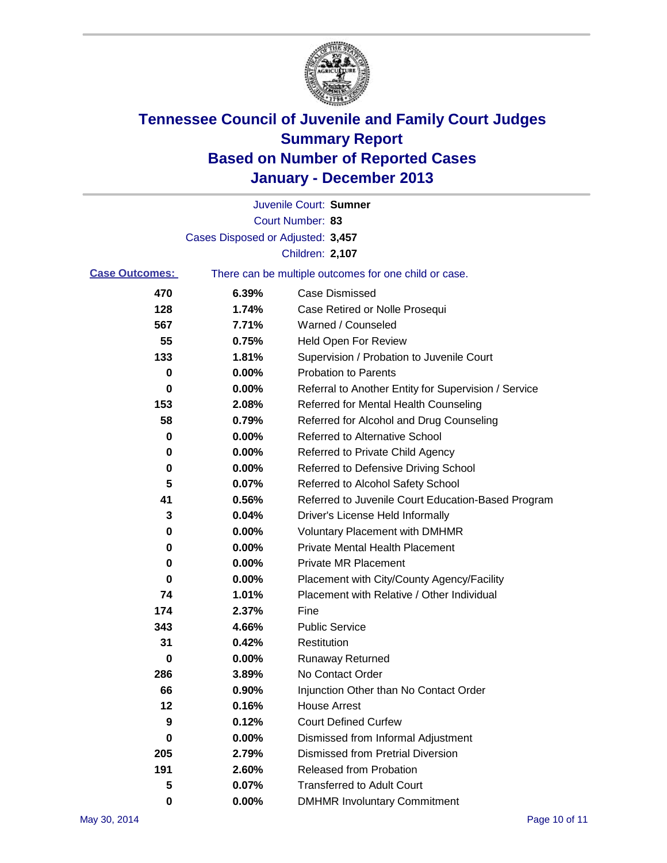

|                       |                                   | Juvenile Court: Sumner                                |
|-----------------------|-----------------------------------|-------------------------------------------------------|
|                       |                                   | Court Number: 83                                      |
|                       | Cases Disposed or Adjusted: 3,457 |                                                       |
|                       |                                   | Children: 2,107                                       |
| <b>Case Outcomes:</b> |                                   | There can be multiple outcomes for one child or case. |
| 470                   | 6.39%                             | Case Dismissed                                        |
| 128                   | 1.74%                             | Case Retired or Nolle Prosequi                        |
| 567                   | 7.71%                             | Warned / Counseled                                    |
| 55                    | 0.75%                             | Held Open For Review                                  |
| 133                   | 1.81%                             | Supervision / Probation to Juvenile Court             |
| 0                     | 0.00%                             | <b>Probation to Parents</b>                           |
| 0                     | $0.00\%$                          | Referral to Another Entity for Supervision / Service  |
| 153                   | 2.08%                             | Referred for Mental Health Counseling                 |
| 58                    | 0.79%                             | Referred for Alcohol and Drug Counseling              |
| 0                     | $0.00\%$                          | Referred to Alternative School                        |
| 0                     | 0.00%                             | Referred to Private Child Agency                      |
| 0                     | $0.00\%$                          | Referred to Defensive Driving School                  |
| 5                     | 0.07%                             | Referred to Alcohol Safety School                     |
| 41                    | 0.56%                             | Referred to Juvenile Court Education-Based Program    |
| 3                     | 0.04%                             | Driver's License Held Informally                      |
| 0                     | 0.00%                             | <b>Voluntary Placement with DMHMR</b>                 |
| 0                     | 0.00%                             | <b>Private Mental Health Placement</b>                |
| 0                     | 0.00%                             | <b>Private MR Placement</b>                           |
| 0                     | $0.00\%$                          | Placement with City/County Agency/Facility            |
| 74                    | 1.01%                             | Placement with Relative / Other Individual            |
| 174                   | 2.37%                             | Fine                                                  |
| 343                   | 4.66%                             | <b>Public Service</b>                                 |
| 31                    | 0.42%                             | Restitution                                           |
| 0                     | 0.00%                             | <b>Runaway Returned</b>                               |
| 286                   | 3.89%                             | No Contact Order                                      |
| 66                    | 0.90%                             | Injunction Other than No Contact Order                |
| 12                    | 0.16%                             | <b>House Arrest</b>                                   |
| 9                     | 0.12%                             | <b>Court Defined Curfew</b>                           |
| 0                     | $0.00\%$                          | Dismissed from Informal Adjustment                    |
| 205                   | 2.79%                             | <b>Dismissed from Pretrial Diversion</b>              |
| 191                   | 2.60%                             | Released from Probation                               |
| 5                     | 0.07%                             | <b>Transferred to Adult Court</b>                     |
| 0                     | $0.00\%$                          | <b>DMHMR Involuntary Commitment</b>                   |